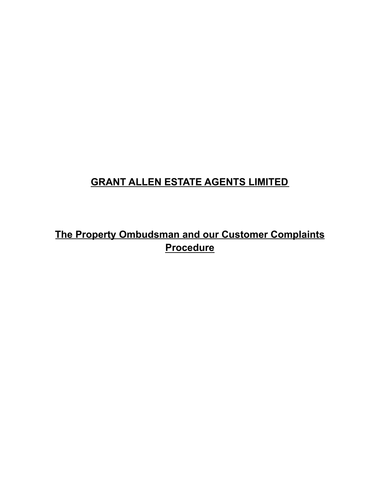## **GRANT ALLEN ESTATE AGENTS LIMITED**

# **The Property Ombudsman and our Customer Complaints Procedure**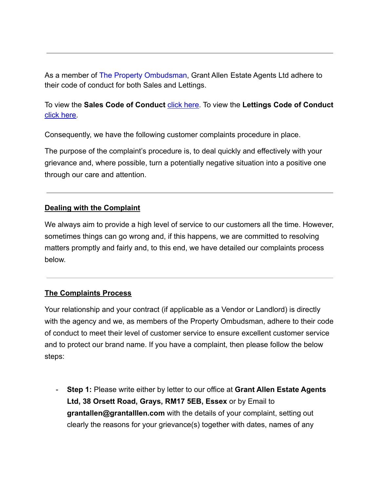As a member of The Property Ombudsman, Grant Allen Estate Agents Ltd adhere to their code of conduct for both Sales and Lettings.

### To view the **Sales Code of Conduct** click here. To view the Lettings Code of Conduct click here.

Consequently, we have the following customer complaints procedure in place.

The purpose of the complaint's procedure is, to deal quickly and effectively with your grievance and, where possible, turn a potentially negative situation into a positive one through our care and attention.

### **Dealing with the Complaint**

We always aim to provide a high level of service to our customers all the time. However, sometimes things can go wrong and, if this happens, we are committed to resolving matters promptly and fairly and, to this end, we have detailed our complaints process below.

#### **The Complaints Process**

Your relationship and your contract (if applicable as a Vendor or Landlord) is directly with the agency and we, as members of the Property Ombudsman, adhere to their code of conduct to meet their level of customer service to ensure excellent customer service and to protect our brand name. If you have a complaint, then please follow the below steps:

- **Step 1:** Please write either by letter to our office at **Grant Allen Estate Agents Ltd, 38 Orsett Road, Grays, RM17 5EB, Essex** or by Email to **grantallen@grantalllen.com** with the details of your complaint, setting out clearly the reasons for your grievance(s) together with dates, names of any